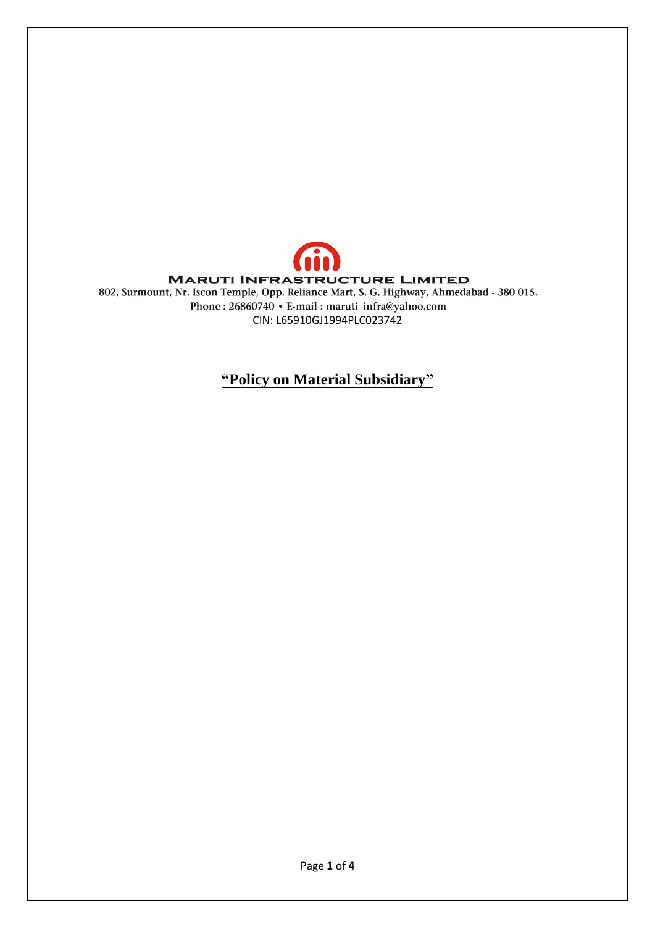

**"Policy on Material Subsidiary"**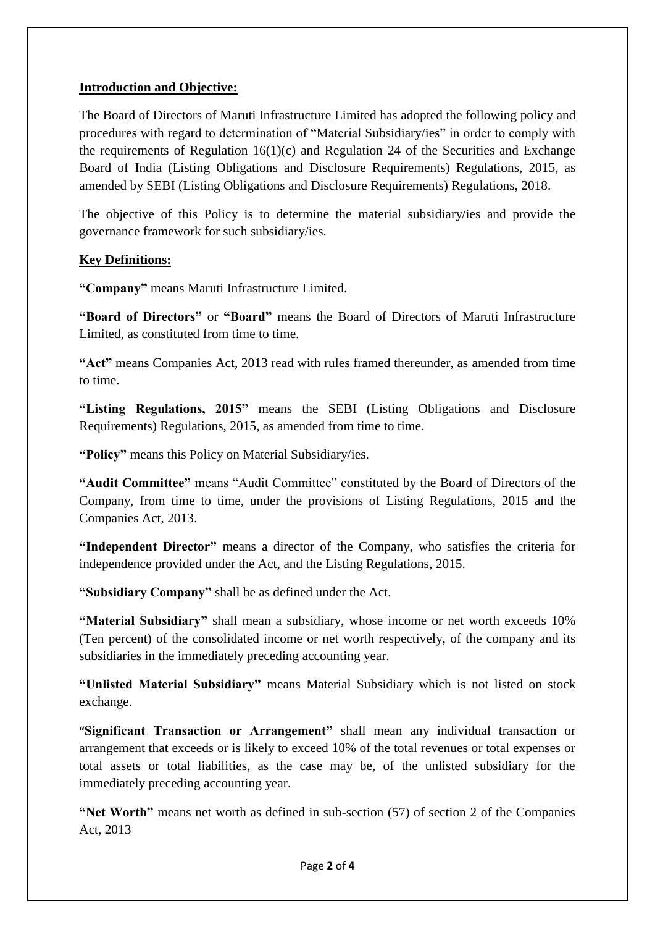# **Introduction and Objective:**

The Board of Directors of Maruti Infrastructure Limited has adopted the following policy and procedures with regard to determination of "Material Subsidiary/ies" in order to comply with the requirements of Regulation  $16(1)(c)$  and Regulation 24 of the Securities and Exchange Board of India (Listing Obligations and Disclosure Requirements) Regulations, 2015, as amended by SEBI (Listing Obligations and Disclosure Requirements) Regulations, 2018.

The objective of this Policy is to determine the material subsidiary/ies and provide the governance framework for such subsidiary/ies.

# **Key Definitions:**

**"Company"** means Maruti Infrastructure Limited.

**"Board of Directors"** or **"Board"** means the Board of Directors of Maruti Infrastructure Limited, as constituted from time to time.

**"Act"** means Companies Act, 2013 read with rules framed thereunder, as amended from time to time.

**"Listing Regulations, 2015"** means the SEBI (Listing Obligations and Disclosure Requirements) Regulations, 2015, as amended from time to time.

**"Policy"** means this Policy on Material Subsidiary/ies.

**"Audit Committee"** means "Audit Committee" constituted by the Board of Directors of the Company, from time to time, under the provisions of Listing Regulations, 2015 and the Companies Act, 2013.

**"Independent Director"** means a director of the Company, who satisfies the criteria for independence provided under the Act, and the Listing Regulations, 2015.

**"Subsidiary Company"** shall be as defined under the Act.

**"Material Subsidiary"** shall mean a subsidiary, whose income or net worth exceeds 10% (Ten percent) of the consolidated income or net worth respectively, of the company and its subsidiaries in the immediately preceding accounting year.

**"Unlisted Material Subsidiary"** means Material Subsidiary which is not listed on stock exchange.

**"Significant Transaction or Arrangement"** shall mean any individual transaction or arrangement that exceeds or is likely to exceed 10% of the total revenues or total expenses or total assets or total liabilities, as the case may be, of the unlisted subsidiary for the immediately preceding accounting year.

**"Net Worth"** means net worth as defined in sub-section (57) of section 2 of the Companies Act, 2013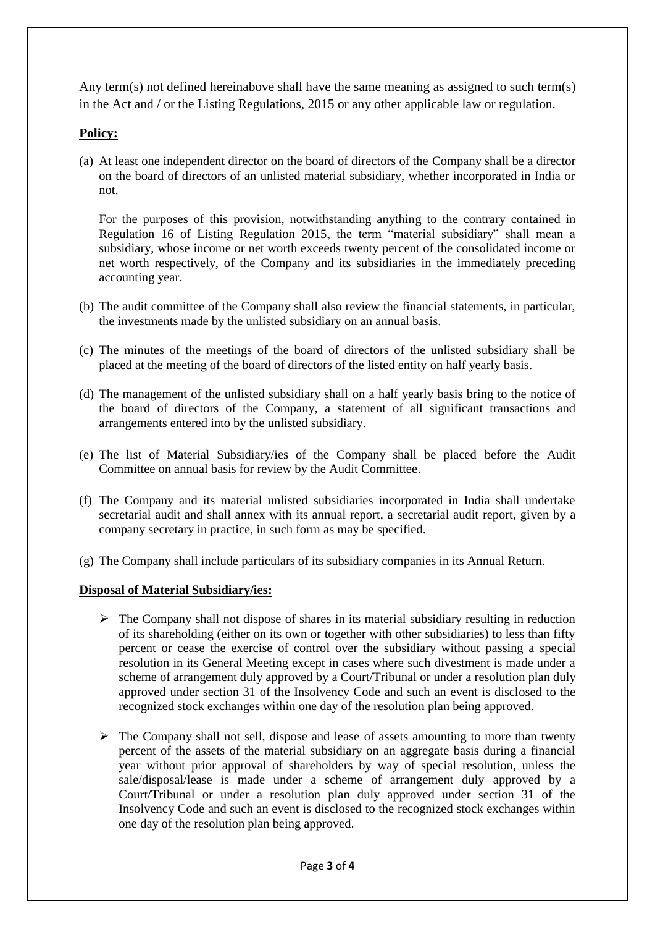Any term(s) not defined hereinabove shall have the same meaning as assigned to such term(s) in the Act and / or the Listing Regulations, 2015 or any other applicable law or regulation.

### **Policy:**

(a) At least one independent director on the board of directors of the Company shall be a director on the board of directors of an unlisted material subsidiary, whether incorporated in India or not.

For the purposes of this provision, notwithstanding anything to the contrary contained in Regulation 16 of Listing Regulation 2015, the term "material subsidiary" shall mean a subsidiary, whose income or net worth exceeds twenty percent of the consolidated income or net worth respectively, of the Company and its subsidiaries in the immediately preceding accounting year.

- (b) The audit committee of the Company shall also review the financial statements, in particular, the investments made by the unlisted subsidiary on an annual basis.
- (c) The minutes of the meetings of the board of directors of the unlisted subsidiary shall be placed at the meeting of the board of directors of the listed entity on half yearly basis.
- (d) The management of the unlisted subsidiary shall on a half yearly basis bring to the notice of the board of directors of the Company, a statement of all significant transactions and arrangements entered into by the unlisted subsidiary.
- (e) The list of Material Subsidiary/ies of the Company shall be placed before the Audit Committee on annual basis for review by the Audit Committee.
- (f) The Company and its material unlisted subsidiaries incorporated in India shall undertake secretarial audit and shall annex with its annual report, a secretarial audit report, given by a company secretary in practice, in such form as may be specified.
- (g) The Company shall include particulars of its subsidiary companies in its Annual Return.

#### **Disposal of Material Subsidiary/ies:**

- $\triangleright$  The Company shall not dispose of shares in its material subsidiary resulting in reduction of its shareholding (either on its own or together with other subsidiaries) to less than fifty percent or cease the exercise of control over the subsidiary without passing a special resolution in its General Meeting except in cases where such divestment is made under a scheme of arrangement duly approved by a Court/Tribunal or under a resolution plan duly approved under section 31 of the Insolvency Code and such an event is disclosed to the recognized stock exchanges within one day of the resolution plan being approved.
- $\triangleright$  The Company shall not sell, dispose and lease of assets amounting to more than twenty percent of the assets of the material subsidiary on an aggregate basis during a financial year without prior approval of shareholders by way of special resolution, unless the sale/disposal/lease is made under a scheme of arrangement duly approved by a Court/Tribunal or under a resolution plan duly approved under section 31 of the Insolvency Code and such an event is disclosed to the recognized stock exchanges within one day of the resolution plan being approved.